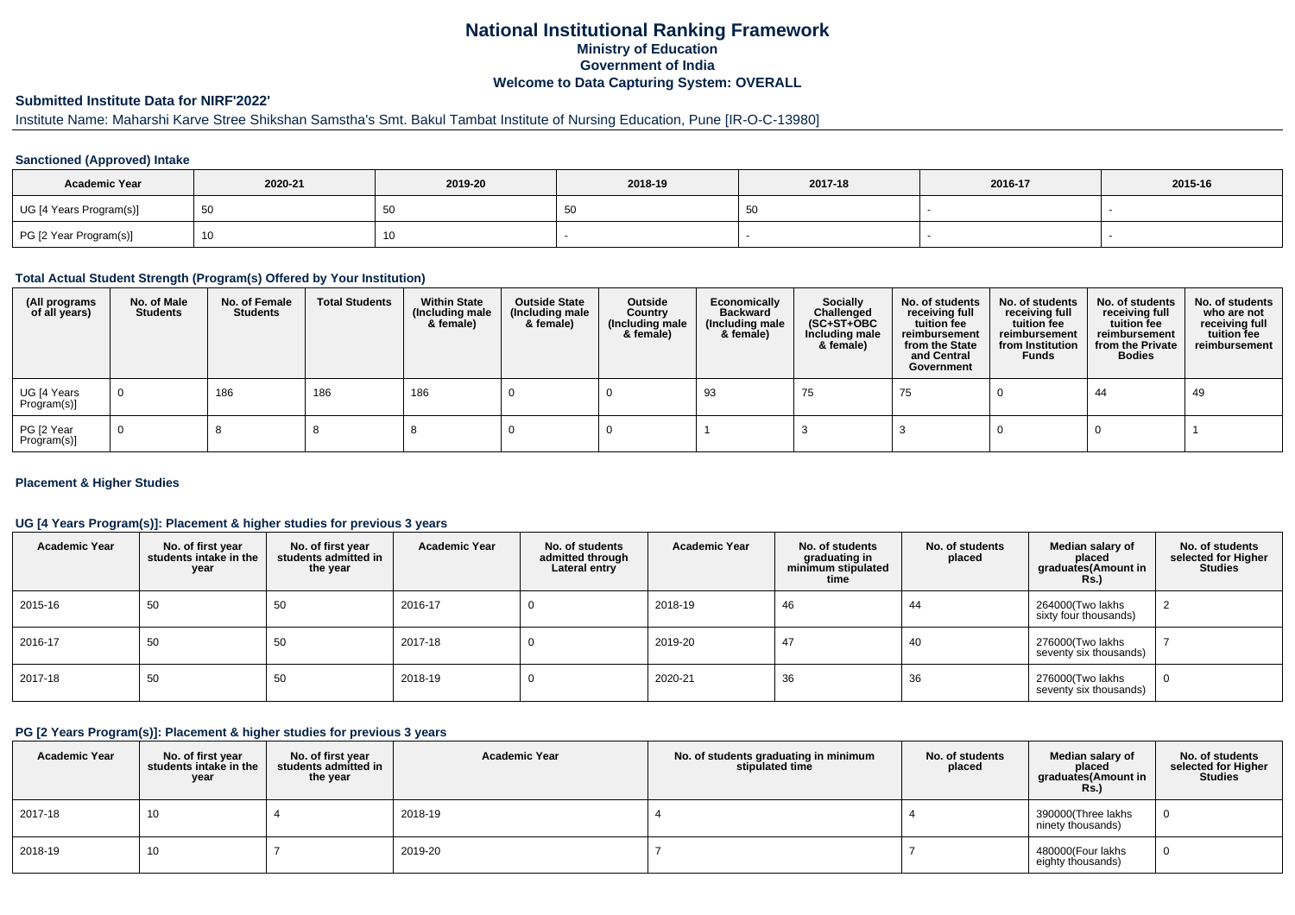# **National Institutional Ranking FrameworkMinistry of Education Government of IndiaWelcome to Data Capturing System: OVERALL**

# **Submitted Institute Data for NIRF'2022'**

# Institute Name: Maharshi Karve Stree Shikshan Samstha's Smt. Bakul Tambat Institute of Nursing Education, Pune [IR-O-C-13980]

## **Sanctioned (Approved) Intake**

| <b>Academic Year</b>    | 2020-21 | 2019-20 | 2018-19 | 2017-18 | 2016-17 | 2015-16 |
|-------------------------|---------|---------|---------|---------|---------|---------|
| UG [4 Years Program(s)] |         | 50      | ູບເ     |         |         |         |
| PG [2 Year Program(s)]  |         | 10      |         |         |         |         |

## **Total Actual Student Strength (Program(s) Offered by Your Institution)**

| (All programs<br>of all years) | No. of Male<br><b>Students</b> | No. of Female<br>Students | <b>Total Students</b> | <b>Within State</b><br>(Including male<br>& female) | <b>Outside State</b><br>(Including male<br>& female) | Outside<br>Country<br>(Including male<br>& female) | Economically<br><b>Backward</b><br>(Including male<br>& female) | <b>Socially</b><br>Challenged<br>$(SC+ST+OBC)$<br>Including male<br>& female) | No. of students<br>receiving full<br>tuition fee<br>reimbursement<br>from the State<br>and Central<br>Government | No. of students<br>receiving full<br>tuition fee<br>reimbursement<br>from Institution<br><b>Funds</b> | No. of students<br>receiving full<br>tuition fee<br>reimbursement<br>from the Private<br><b>Bodies</b> | No. of students<br>who are not<br>receiving full<br>tuition fee<br>reimbursement |
|--------------------------------|--------------------------------|---------------------------|-----------------------|-----------------------------------------------------|------------------------------------------------------|----------------------------------------------------|-----------------------------------------------------------------|-------------------------------------------------------------------------------|------------------------------------------------------------------------------------------------------------------|-------------------------------------------------------------------------------------------------------|--------------------------------------------------------------------------------------------------------|----------------------------------------------------------------------------------|
| UG [4 Years<br>Program(s)]     | $\mathbf 0$                    | 186                       | 186                   | 186                                                 |                                                      |                                                    | -93                                                             | 75                                                                            | 75                                                                                                               |                                                                                                       | 44                                                                                                     | 49                                                                               |
| PG [2 Year<br>Program(s)]      | $\Omega$                       |                           |                       |                                                     |                                                      |                                                    |                                                                 |                                                                               |                                                                                                                  |                                                                                                       |                                                                                                        |                                                                                  |

## **Placement & Higher Studies**

## **UG [4 Years Program(s)]: Placement & higher studies for previous 3 years**

| <b>Academic Year</b> | No. of first year<br>students intake in the<br>vear | No. of first year<br>students admitted in<br>the year | <b>Academic Year</b> | No. of students<br>admitted through<br>Lateral entry | <b>Academic Year</b> | No. of students<br>graduating in<br>minimum stipulated<br>time | No. of students<br>placed | Median salary of<br>placed<br>graduates(Amount in<br>Rs.) | No. of students<br>selected for Higher<br><b>Studies</b> |
|----------------------|-----------------------------------------------------|-------------------------------------------------------|----------------------|------------------------------------------------------|----------------------|----------------------------------------------------------------|---------------------------|-----------------------------------------------------------|----------------------------------------------------------|
| 2015-16              | 50                                                  | 50                                                    | 2016-17              |                                                      | 2018-19              | 46                                                             | 44                        | 264000(Two lakhs<br>sixty four thousands)                 |                                                          |
| 2016-17              | 50                                                  | 50                                                    | 2017-18              |                                                      | 2019-20              | 47                                                             | 40                        | 276000(Two lakhs<br>seventy six thousands)                |                                                          |
| 2017-18              | 50                                                  | 50                                                    | 2018-19              |                                                      | 2020-21              | 36                                                             | 36                        | 276000(Two lakhs<br>seventy six thousands)                | 0                                                        |

# **PG [2 Years Program(s)]: Placement & higher studies for previous 3 years**

| <b>Academic Year</b> | No. of first year<br>students intake in the<br>year | No. of first year<br>students admitted in<br>the year | <b>Academic Year</b> | No. of students graduating in minimum<br>stipulated time | No. of students<br>placed | Median salary of<br>placed<br>graduates(Amount in<br>Rs.) | No. of students<br>selected for Higher<br><b>Studies</b> |
|----------------------|-----------------------------------------------------|-------------------------------------------------------|----------------------|----------------------------------------------------------|---------------------------|-----------------------------------------------------------|----------------------------------------------------------|
| 2017-18              | 10                                                  |                                                       | 2018-19              |                                                          |                           | 390000(Three lakhs<br>ninety thousands)                   |                                                          |
| 2018-19              | 10                                                  |                                                       | 2019-20              |                                                          |                           | 480000(Four lakhs<br>eighty thousands)                    |                                                          |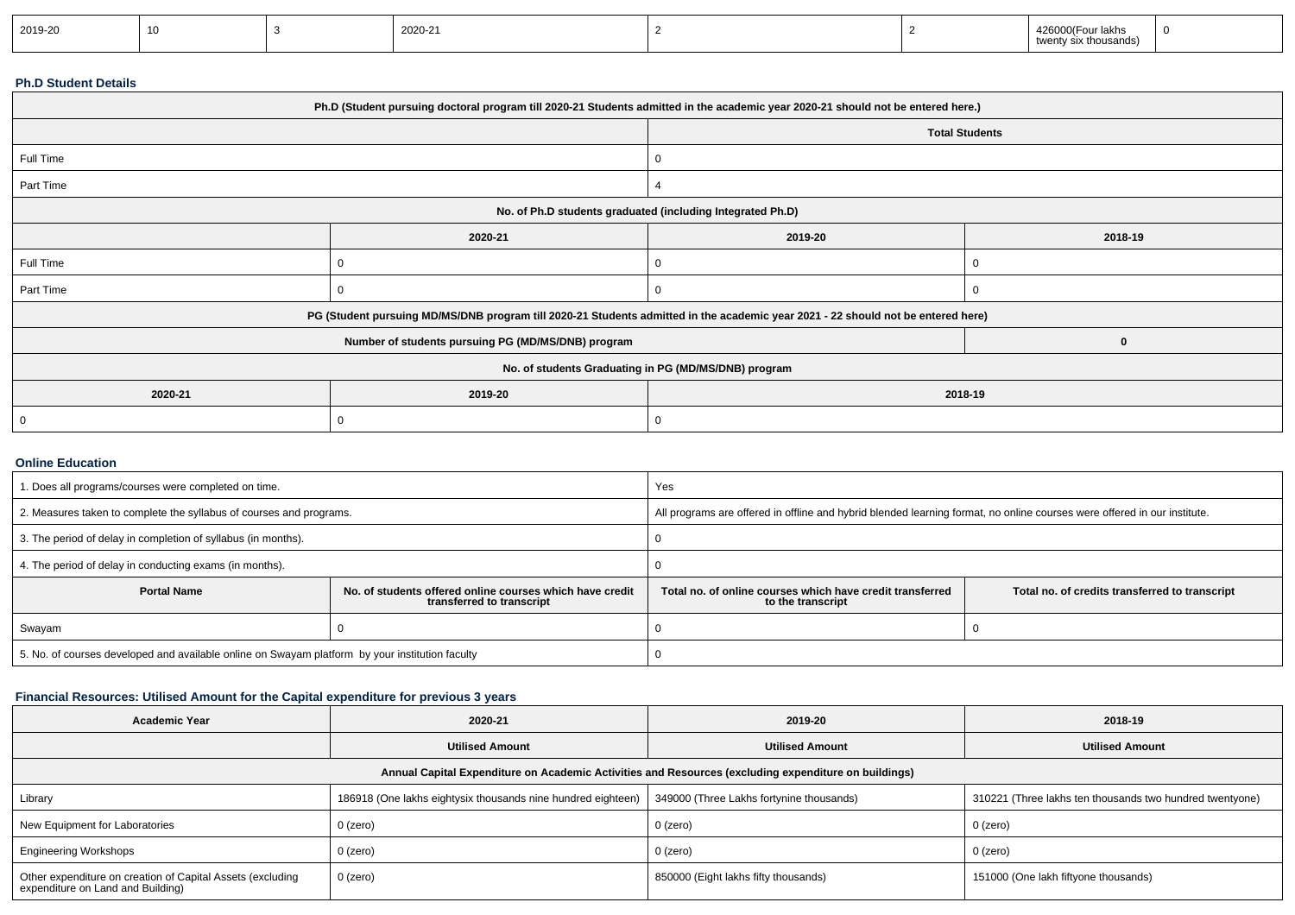| 2019-20 |  |  | 2020-21 |  |  | ‴⊨our iakna.<br>$4/n_1$<br>thousands)<br>wer |  |
|---------|--|--|---------|--|--|----------------------------------------------|--|
|---------|--|--|---------|--|--|----------------------------------------------|--|

#### **Ph.D Student Details**

| Ph.D (Student pursuing doctoral program till 2020-21 Students admitted in the academic year 2020-21 should not be entered here.) |                                                                                                                                  |                                                      |                       |  |  |  |
|----------------------------------------------------------------------------------------------------------------------------------|----------------------------------------------------------------------------------------------------------------------------------|------------------------------------------------------|-----------------------|--|--|--|
|                                                                                                                                  |                                                                                                                                  |                                                      | <b>Total Students</b> |  |  |  |
| Full Time                                                                                                                        |                                                                                                                                  | 0                                                    |                       |  |  |  |
| Part Time                                                                                                                        |                                                                                                                                  |                                                      |                       |  |  |  |
|                                                                                                                                  | No. of Ph.D students graduated (including Integrated Ph.D)                                                                       |                                                      |                       |  |  |  |
|                                                                                                                                  | 2020-21                                                                                                                          | 2019-20<br>2018-19                                   |                       |  |  |  |
| Full Time                                                                                                                        |                                                                                                                                  | 0                                                    |                       |  |  |  |
| Part Time                                                                                                                        |                                                                                                                                  | 0                                                    |                       |  |  |  |
|                                                                                                                                  | PG (Student pursuing MD/MS/DNB program till 2020-21 Students admitted in the academic year 2021 - 22 should not be entered here) |                                                      |                       |  |  |  |
|                                                                                                                                  | Number of students pursuing PG (MD/MS/DNB) program                                                                               |                                                      | 0                     |  |  |  |
|                                                                                                                                  |                                                                                                                                  | No. of students Graduating in PG (MD/MS/DNB) program |                       |  |  |  |
| 2020-21                                                                                                                          | 2019-20                                                                                                                          | 2018-19                                              |                       |  |  |  |
|                                                                                                                                  |                                                                                                                                  | 0                                                    |                       |  |  |  |

#### **Online Education**

| 1. Does all programs/courses were completed on time.                                                        |  | Yes                                                                                                                              |  |  |  |
|-------------------------------------------------------------------------------------------------------------|--|----------------------------------------------------------------------------------------------------------------------------------|--|--|--|
| 2. Measures taken to complete the syllabus of courses and programs.                                         |  | All programs are offered in offline and hybrid blended learning format, no online courses were offered in our institute.         |  |  |  |
| 3. The period of delay in completion of syllabus (in months).                                               |  |                                                                                                                                  |  |  |  |
| 4. The period of delay in conducting exams (in months).                                                     |  |                                                                                                                                  |  |  |  |
| <b>Portal Name</b><br>No. of students offered online courses which have credit<br>transferred to transcript |  | Total no, of online courses which have credit transferred<br>Total no. of credits transferred to transcript<br>to the transcript |  |  |  |
| Swayam                                                                                                      |  |                                                                                                                                  |  |  |  |
| 5. No. of courses developed and available online on Swayam platform by your institution faculty             |  |                                                                                                                                  |  |  |  |

# **Financial Resources: Utilised Amount for the Capital expenditure for previous 3 years**

| <b>Academic Year</b>                                                                                 | 2020-21                                                      | 2019-20                                  | 2018-19                                                  |  |  |  |  |  |
|------------------------------------------------------------------------------------------------------|--------------------------------------------------------------|------------------------------------------|----------------------------------------------------------|--|--|--|--|--|
|                                                                                                      | <b>Utilised Amount</b>                                       | <b>Utilised Amount</b>                   | <b>Utilised Amount</b>                                   |  |  |  |  |  |
| Annual Capital Expenditure on Academic Activities and Resources (excluding expenditure on buildings) |                                                              |                                          |                                                          |  |  |  |  |  |
| Library                                                                                              | 186918 (One lakhs eightysix thousands nine hundred eighteen) | 349000 (Three Lakhs fortynine thousands) | 310221 (Three lakhs ten thousands two hundred twentyone) |  |  |  |  |  |
| New Equipment for Laboratories                                                                       | 0 (zero)                                                     | 0 (zero)                                 | 0 (zero)                                                 |  |  |  |  |  |
| <b>Engineering Workshops</b>                                                                         | 0 (zero)                                                     | 0 (zero)                                 | 0 (zero)                                                 |  |  |  |  |  |
| Other expenditure on creation of Capital Assets (excluding<br>expenditure on Land and Building)      | 0 (zero)                                                     | 850000 (Eight lakhs fifty thousands)     | 151000 (One lakh fiftyone thousands)                     |  |  |  |  |  |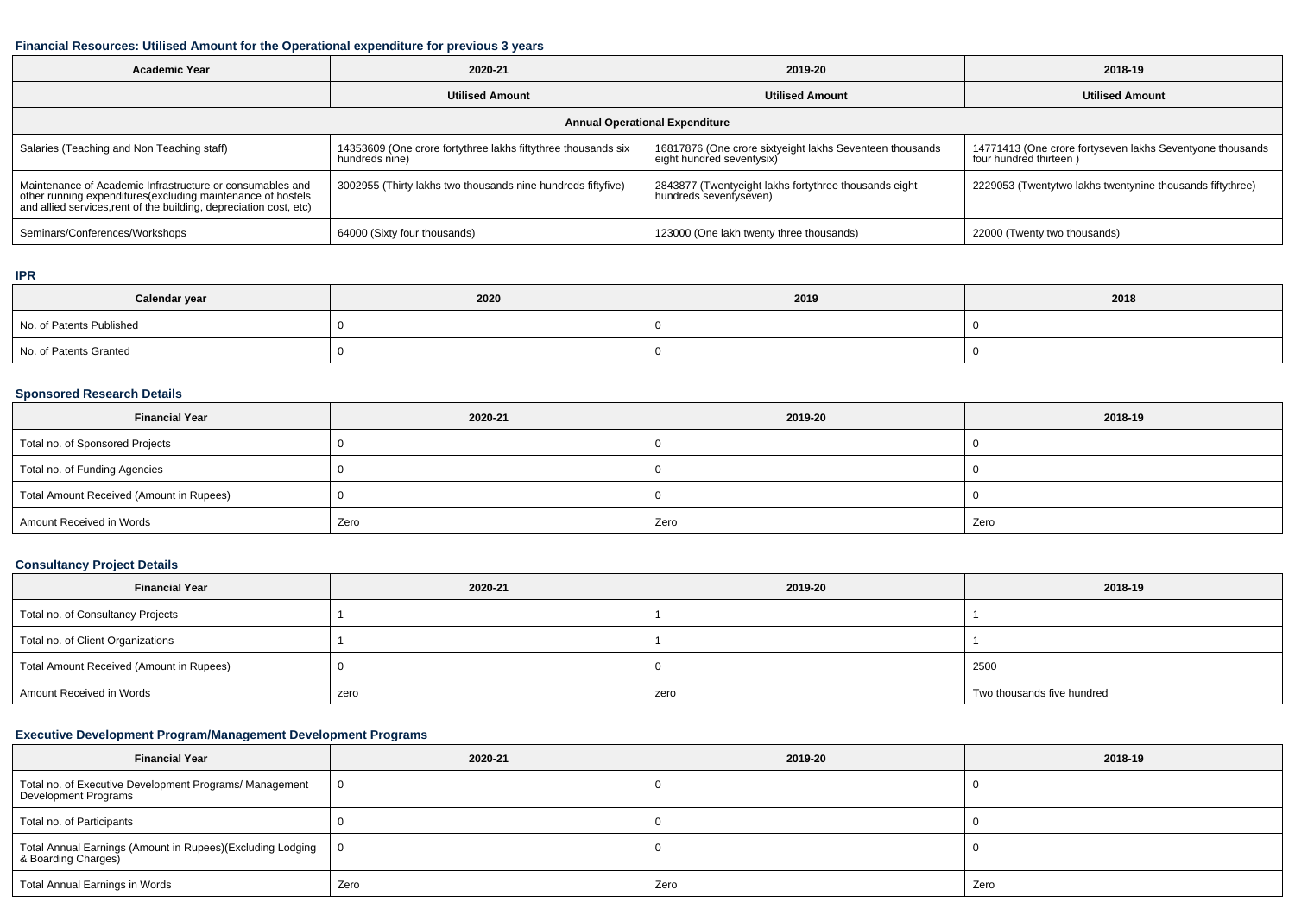# **Financial Resources: Utilised Amount for the Operational expenditure for previous 3 years**

| Academic Year                                                                                                                                                                                   | 2020-21                                                                         | 2019-20                                                                               | 2018-19                                                                             |  |  |  |  |  |
|-------------------------------------------------------------------------------------------------------------------------------------------------------------------------------------------------|---------------------------------------------------------------------------------|---------------------------------------------------------------------------------------|-------------------------------------------------------------------------------------|--|--|--|--|--|
|                                                                                                                                                                                                 | <b>Utilised Amount</b>                                                          | <b>Utilised Amount</b>                                                                | <b>Utilised Amount</b>                                                              |  |  |  |  |  |
| <b>Annual Operational Expenditure</b>                                                                                                                                                           |                                                                                 |                                                                                       |                                                                                     |  |  |  |  |  |
| Salaries (Teaching and Non Teaching staff)                                                                                                                                                      | 14353609 (One crore fortythree lakhs fiftythree thousands six<br>hundreds nine) | 16817876 (One crore sixtyeight lakhs Seventeen thousands<br>eight hundred seventysix) | 14771413 (One crore fortyseven lakhs Seventyone thousands<br>four hundred thirteen) |  |  |  |  |  |
| Maintenance of Academic Infrastructure or consumables and<br>other running expenditures (excluding maintenance of hostels<br>and allied services, rent of the building, depreciation cost, etc) | 3002955 (Thirty lakhs two thousands nine hundreds fiftyfive)                    | 2843877 (Twentyeight lakhs fortythree thousands eight<br>hundreds seventyseven)       | 2229053 (Twentytwo lakhs twentynine thousands fiftythree)                           |  |  |  |  |  |
| Seminars/Conferences/Workshops                                                                                                                                                                  | 64000 (Sixty four thousands)                                                    | 123000 (One lakh twenty three thousands)                                              | 22000 (Twenty two thousands)                                                        |  |  |  |  |  |

#### **IPR**

| Calendar year            | 2020 | 2019 | 2018 |
|--------------------------|------|------|------|
| No. of Patents Published |      |      |      |
| No. of Patents Granted   |      |      |      |

#### **Sponsored Research Details**

| <b>Financial Year</b>                    | 2020-21 | 2019-20 | 2018-19 |
|------------------------------------------|---------|---------|---------|
| Total no. of Sponsored Projects          |         |         |         |
| Total no. of Funding Agencies            |         |         |         |
| Total Amount Received (Amount in Rupees) |         |         |         |
| Amount Received in Words                 | Zero    | Zero    | Zero    |

## **Consultancy Project Details**

| <b>Financial Year</b>                    | 2020-21 | 2019-20 | 2018-19                    |
|------------------------------------------|---------|---------|----------------------------|
| Total no. of Consultancy Projects        |         |         |                            |
| Total no. of Client Organizations        |         |         |                            |
| Total Amount Received (Amount in Rupees) |         |         | 2500                       |
| Amount Received in Words                 | zero    | zero    | Two thousands five hundred |

# **Executive Development Program/Management Development Programs**

| <b>Financial Year</b>                                                             | 2020-21      | 2019-20 | 2018-19 |  |
|-----------------------------------------------------------------------------------|--------------|---------|---------|--|
| Total no. of Executive Development Programs/ Management<br>Development Programs   | $\mathbf{0}$ |         |         |  |
| Total no. of Participants                                                         |              |         |         |  |
| Total Annual Earnings (Amount in Rupees)(Excluding Lodging<br>& Boarding Charges) | - 0          |         |         |  |
| Total Annual Earnings in Words                                                    | Zero         | Zero    | Zero    |  |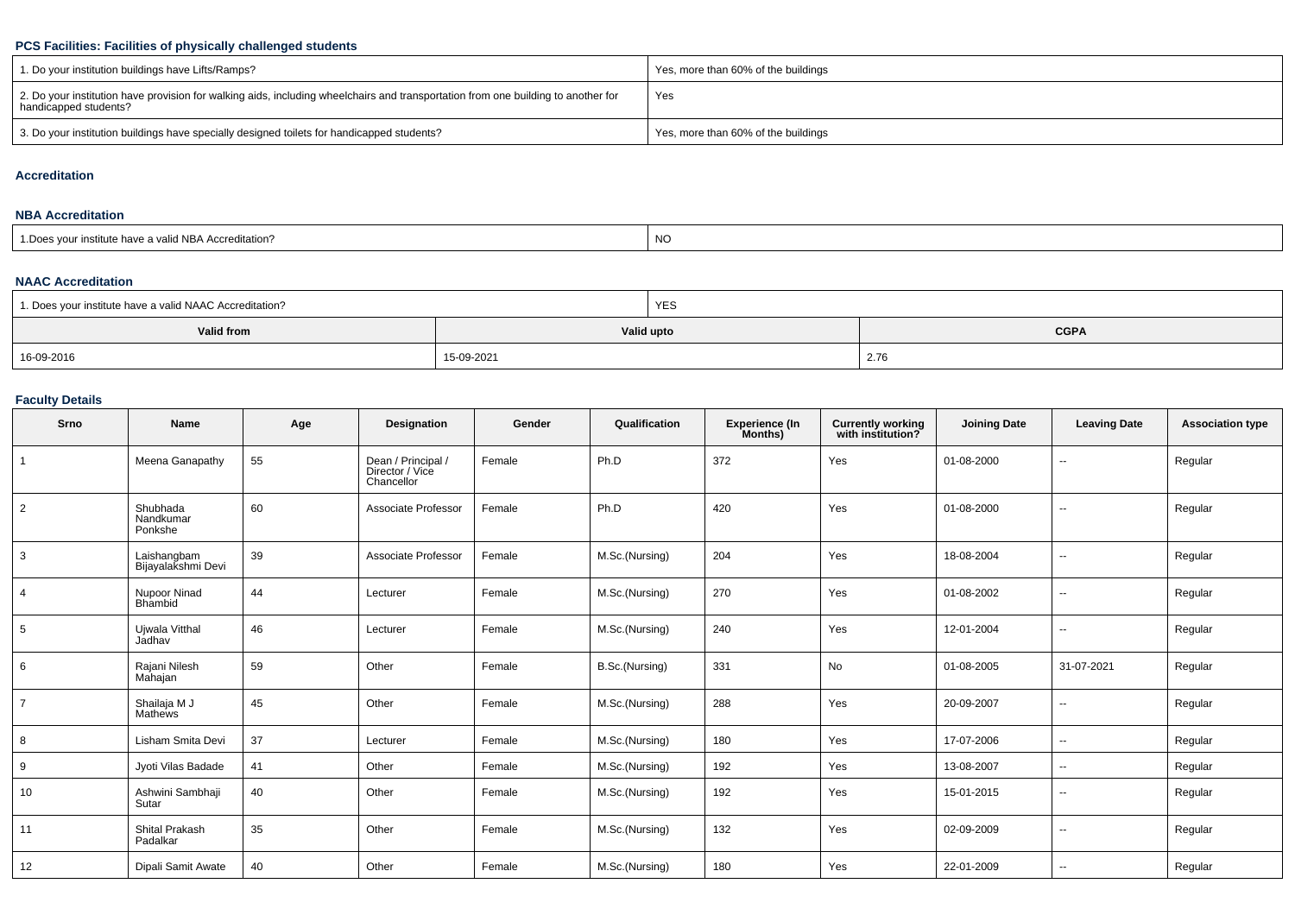# **PCS Facilities: Facilities of physically challenged students**

| 1. Do your institution buildings have Lifts/Ramps?                                                                                                         | Yes, more than 60% of the buildings |
|------------------------------------------------------------------------------------------------------------------------------------------------------------|-------------------------------------|
| 2. Do your institution have provision for walking aids, including wheelchairs and transportation from one building to another for<br>handicapped students? | Yes                                 |
| 3. Do your institution buildings have specially designed toilets for handicapped students?                                                                 | Yes, more than 60% of the buildings |

#### **Accreditation**

# **NBA Accreditation**

| <b>NC</b><br>1. Does your institute have a valid NBA Accreditation? |  |
|---------------------------------------------------------------------|--|
|---------------------------------------------------------------------|--|

## **NAAC Accreditation**

| <sup>1</sup> 1. Does your institute have a valid NAAC Accreditation? |            | <b>YES</b> |             |  |  |
|----------------------------------------------------------------------|------------|------------|-------------|--|--|
| Valid from                                                           |            | Valid upto | <b>CGPA</b> |  |  |
| 16-09-2016                                                           | 15-09-2021 |            | 2.76        |  |  |

# **Faculty Details**

| Srno           | Name                              | Age | <b>Designation</b>                                  | Gender | Qualification  | <b>Experience (In</b><br>Months) | Currently working<br>with institution? | <b>Joining Date</b> | <b>Leaving Date</b> | <b>Association type</b> |
|----------------|-----------------------------------|-----|-----------------------------------------------------|--------|----------------|----------------------------------|----------------------------------------|---------------------|---------------------|-------------------------|
|                | Meena Ganapathy                   | 55  | Dean / Principal /<br>Director / Vice<br>Chancellor | Female | Ph.D           | 372                              | Yes                                    | 01-08-2000          | $\sim$              | Regular                 |
| $\overline{2}$ | Shubhada<br>Nandkumar<br>Ponkshe  | 60  | Associate Professor                                 | Female | Ph.D           | 420                              | Yes                                    | 01-08-2000          | $\sim$              | Regular                 |
| 3              | Laishangbam<br>Bijayalakshmi Devi | 39  | Associate Professor                                 | Female | M.Sc.(Nursing) | 204                              | Yes                                    | 18-08-2004          | $\sim$              | Regular                 |
| 4              | Nupoor Ninad<br>Bhambid           | 44  | Lecturer                                            | Female | M.Sc.(Nursing) | 270                              | Yes                                    | 01-08-2002          | $\sim$              | Regular                 |
| 5              | Ujwala Vitthal<br>Jadhav          | 46  | Lecturer                                            | Female | M.Sc.(Nursing) | 240                              | Yes                                    | 12-01-2004          | $\sim$              | Regular                 |
| 6              | Rajani Nilesh<br>Mahajan          | 59  | Other                                               | Female | B.Sc.(Nursing) | 331                              | No                                     | 01-08-2005          | 31-07-2021          | Regular                 |
| $\overline{7}$ | Shailaja M J<br>Mathews           | 45  | Other                                               | Female | M.Sc.(Nursing) | 288                              | Yes                                    | 20-09-2007          | $\sim$              | Regular                 |
| 8              | Lisham Smita Devi                 | 37  | Lecturer                                            | Female | M.Sc.(Nursing) | 180                              | Yes                                    | 17-07-2006          | $\sim$              | Regular                 |
| 9              | Jyoti Vilas Badade                | 41  | Other                                               | Female | M.Sc.(Nursing) | 192                              | Yes                                    | 13-08-2007          | $\sim$              | Regular                 |
| 10             | Ashwini Sambhaji<br>Sutar         | 40  | Other                                               | Female | M.Sc.(Nursing) | 192                              | Yes                                    | 15-01-2015          | $\sim$              | Regular                 |
| 11             | <b>Shital Prakash</b><br>Padalkar | 35  | Other                                               | Female | M.Sc.(Nursing) | 132                              | Yes                                    | 02-09-2009          | $\sim$              | Regular                 |
| 12             | Dipali Samit Awate                | 40  | Other                                               | Female | M.Sc.(Nursing) | 180                              | Yes                                    | 22-01-2009          | $\sim$              | Regular                 |